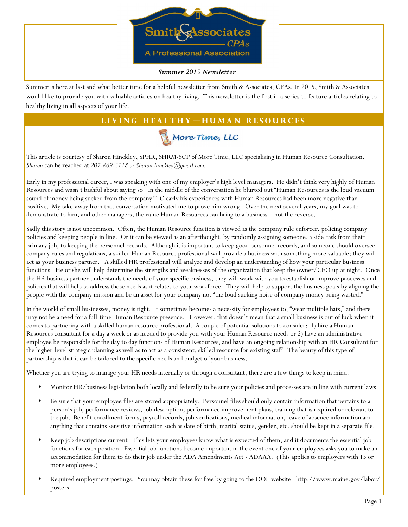

#### *Summer 2015 Newsletter*

Summer is here at last and what better time for a helpful newsletter from Smith & Associates, CPAs. In 2015, Smith & Associates would like to provide you with valuable articles on healthy living. This newsletter is the first in a series to feature articles relating to healthy living in all aspects of your life.

# LIVING HEALTHY-HUMAN RESOURCES



This article is courtesy of Sharon Hinckley, SPHR, SHRM-SCP of More Time, LLC specializing in Human Resource Consultation. *Sharon* can be reached at *207-869-5118 or Sharon.hinckley@gmail.com.*

Early in my professional career, I was speaking with one of my employer's high level managers. He didn't think very highly of Human Resources and wasn't bashful about saying so. In the middle of the conversation he blurted out "Human Resources is the loud vacuum sound of money being sucked from the company!" Clearly his experiences with Human Resources had been more negative than positive. My take-away from that conversation motivated me to prove him wrong. Over the next several years, my goal was to demonstrate to him, and other managers, the value Human Resources can bring to a business – not the reverse.

Sadly this story is not uncommon. Often, the Human Resource function is viewed as the company rule enforcer, policing company policies and keeping people in line. Or it can be viewed as an afterthought, by randomly assigning someone, a side-task from their primary job, to keeping the personnel records. Although it is important to keep good personnel records, and someone should oversee company rules and regulations, a skilled Human Resource professional will provide a business with something more valuable; they will act as your business partner. A skilled HR professional will analyze and develop an understanding of how your particular business functions. He or she will help determine the strengths and weaknesses of the organization that keep the owner/CEO up at night. Once the HR business partner understands the needs of your specific business, they will work with you to establish or improve processes and policies that will help to address those needs as it relates to your workforce. They will help to support the business goals by aligning the people with the company mission and be an asset for your company not "the loud sucking noise of company money being wasted."

In the world of small businesses, money is tight. It sometimes becomes a necessity for employees to, "wear multiple hats," and there may not be a need for a full-time Human Resource presence. However, that doesn't mean that a small business is out of luck when it comes to partnering with a skilled human resource professional. A couple of potential solutions to consider: 1) hire a Human Resources consultant for a day a week or as needed to provide you with your Human Resource needs or 2) have an administrative employee be responsible for the day to day functions of Human Resources, and have an ongoing relationship with an HR Consultant for the higher-level strategic planning as well as to act as a consistent, skilled resource for existing staff. The beauty of this type of partnership is that it can be tailored to the specific needs and budget of your business.

Whether you are trying to manage your HR needs internally or through a consultant, there are a few things to keep in mind.

- Monitor HR/business legislation both locally and federally to be sure your policies and processes are in line with current laws.
- Be sure that your employee files are stored appropriately. Personnel files should only contain information that pertains to a person's job, performance reviews, job description, performance improvement plans, training that is required or relevant to the job. Benefit enrollment forms, payroll records, job verifications, medical information, leave of absence information and anything that contains sensitive information such as date of birth, marital status, gender, etc. should be kept in a separate file.
- Keep job descriptions current This lets your employees know what is expected of them, and it documents the essential job functions for each position. Essential job functions become important in the event one of your employees asks you to make an accommodation for them to do their job under the ADA Amendments Act - ADAAA. (This applies to employers with 15 or more employees.)
- Required employment postings. You may obtain these for free by going to the DOL website. http://www.maine.gov/labor/ posters